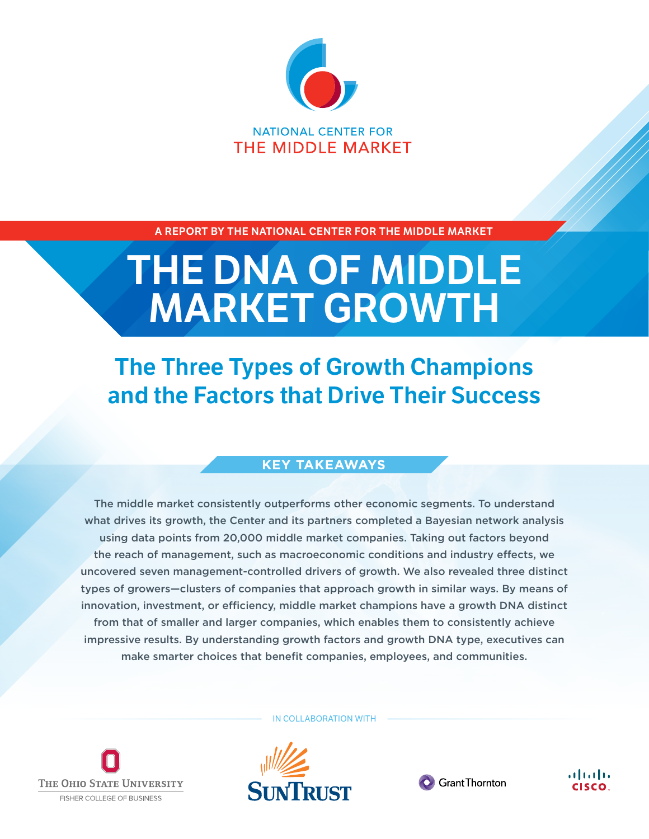

**A REPORT BY THE NATIONAL CENTER FOR THE MIDDLE MARKET** 

# **THE DNA OF MIDDLE MARKET GROWTH**

## **The Three Types of Growth Champions and the Factors that Drive Their Success**

#### **KEY TAKEAWAYS**

The middle market consistently outperforms other economic segments. To understand what drives its growth, the Center and its partners completed a Bayesian network analysis using data points from 20,000 middle market companies. Taking out factors beyond the reach of management, such as macroeconomic conditions and industry effects, we uncovered seven management-controlled drivers of growth. We also revealed three distinct types of growers—clusters of companies that approach growth in similar ways. By means of innovation, investment, or efficiency, middle market champions have a growth DNA distinct from that of smaller and larger companies, which enables them to consistently achieve impressive results. By understanding growth factors and growth DNA type, executives can make smarter choices that benefit companies, employees, and communities.



IN COLLABORATION WITH





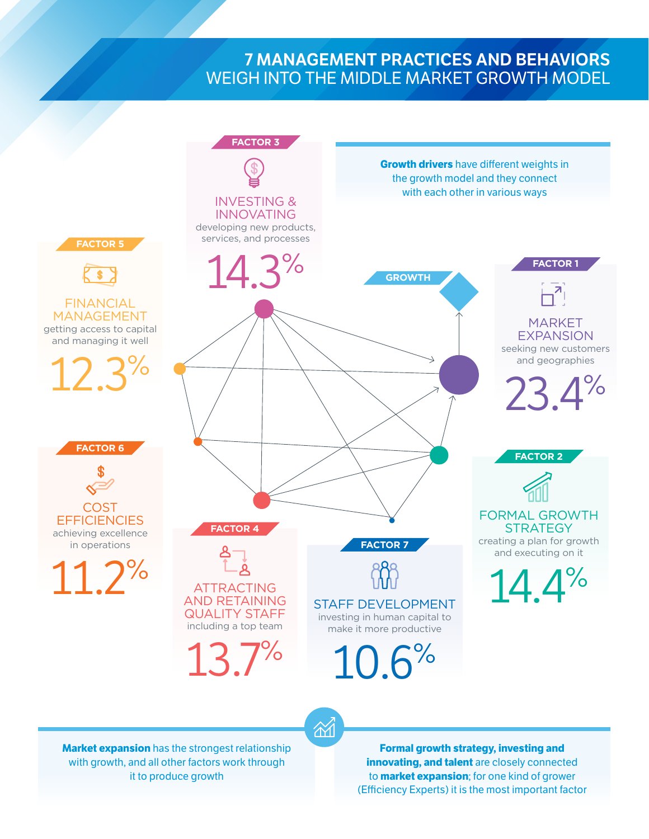#### **7 MANAGEMENT PRACTICES AND BEHAVIORS**  WEIGH INTO THE MIDDLE MARKET GROWTH MODEL



 $\widetilde{\alpha}$ 

**Market expansion** has the strongest relationship with growth, and all other factors work through it to produce growth

**Formal growth strategy, investing and innovating, and talent** are closely connected to **market expansion**; for one kind of grower (Efficiency Experts) it is the most important factor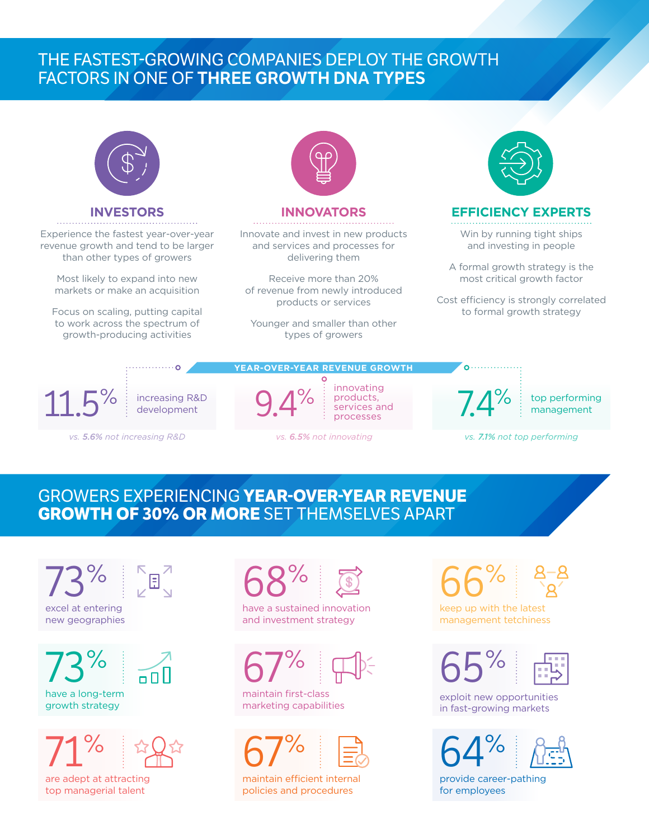## THE FASTEST-GROWING COMPANIES DEPLOY THE GROWTH FACTORS IN ONE OF **THREE GROWTH DNA TYPES**



services and processes

*vs. 5.6% not increasing R&D vs. 6.5% not innovating vs. 7.1% not top performing*

management

#### GROWERS EXPERIENCING **YEAR-OVER-YEAR REVENUE GROWTH OF 30% OR MORE** SET THEMSELVES APART

 $3\%$  64  $\mathrm{Fe}$ excel at entering new geographies

have a long-term growth strategy



are adept at attracting top managerial talent



have a sustained innovation and investment strategy



maintain first-class marketing capabilities



maintain efficient internal policies and procedures



keep up with the latest management tetchiness

exploit new opportunities in fast-growing markets



provide career-pathing for employees